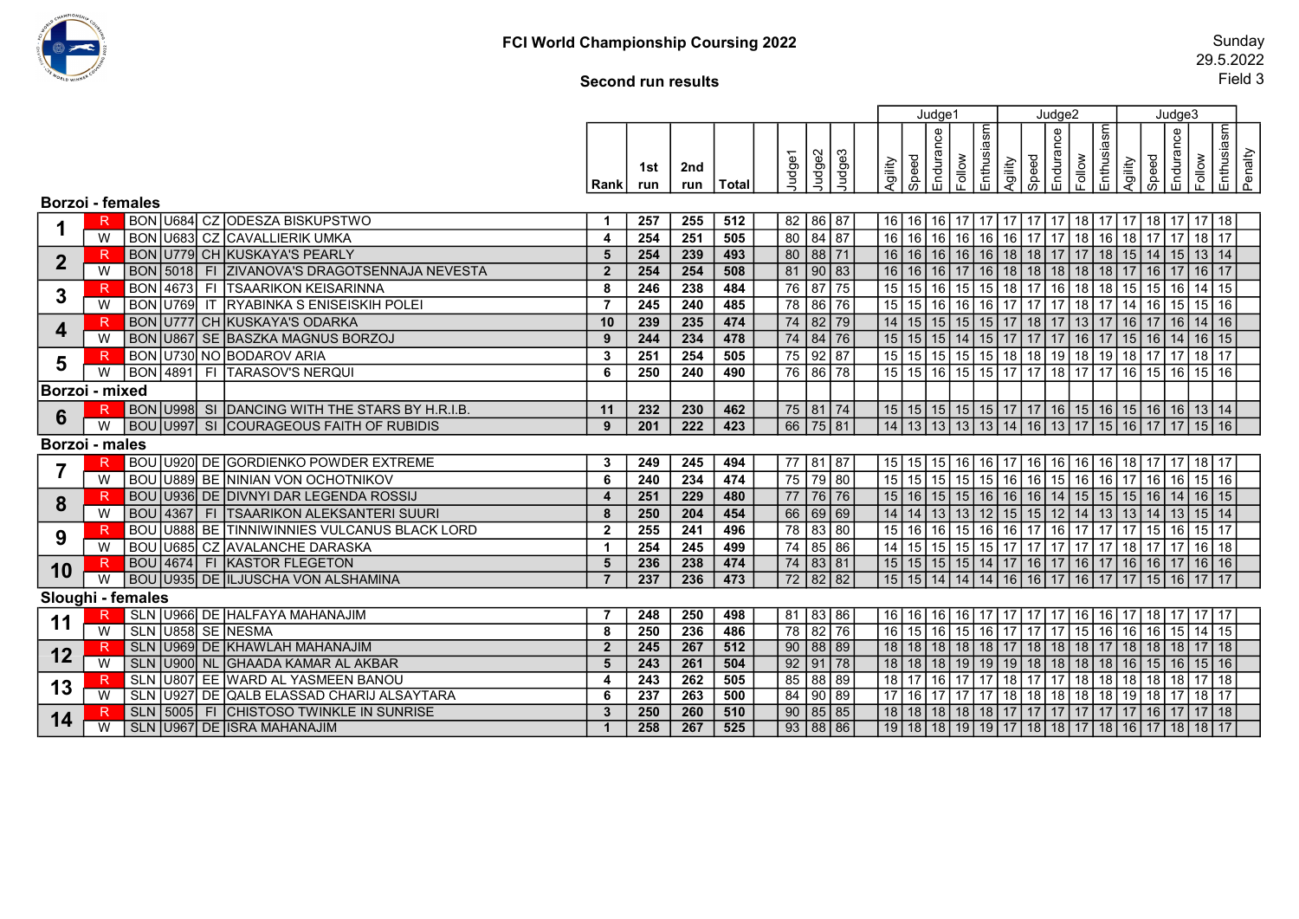

## Second run results

|                         |              |                    |                                                |                |                  |                  |              |              |                           |                 |           | Judge1                                                                   |            |                                                      | Judge2    |        |                       |                                 | Judge3          |                                                 |         |
|-------------------------|--------------|--------------------|------------------------------------------------|----------------|------------------|------------------|--------------|--------------|---------------------------|-----------------|-----------|--------------------------------------------------------------------------|------------|------------------------------------------------------|-----------|--------|-----------------------|---------------------------------|-----------------|-------------------------------------------------|---------|
|                         |              |                    |                                                | Rank           | 1st<br>run       | 2nd<br>run       | <b>Total</b> | Judge1       | Judge2<br>Sepnr<br>Sudges | Agility         | Speed     | Endurance<br>Follow                                                      | Enthusiasm | Speed<br>Agility                                     | Endurance | Follow | Enthusiasm<br>Agility | $\overline{\frac{1}{\sqrt{2}}}$ | Endurance       | Enthusiasm<br>Follow                            | Penalty |
| <b>Borzoi - females</b> |              |                    |                                                |                |                  |                  |              |              |                           |                 |           |                                                                          |            |                                                      |           |        |                       |                                 |                 |                                                 |         |
|                         | R            |                    | BON U684 CZ ODESZA BISKUPSTWO                  | $\mathbf{1}$   | 257              | 255              | 512          | 82   86   87 |                           |                 |           |                                                                          |            |                                                      |           |        |                       |                                 |                 |                                                 |         |
|                         | W            |                    | <b>BON U683 CZ CAVALLIERIK UMKA</b>            | $\overline{4}$ | 254              | 251              | 505          | 80 84 87     |                           | 16              |           | 16 16 16                                                                 |            | 16   16   17   17   18   16   18   17   17   18   17 |           |        |                       |                                 |                 |                                                 |         |
|                         | R            |                    | BON U779 CH KUSKAYA'S PEARLY                   | 5              | 254              | 239              | 493          | 80   88   71 |                           | 16              |           | 16   16   16                                                             |            | 16   18   18   17   17   18   15   14   15   13   14 |           |        |                       |                                 |                 |                                                 |         |
| $\mathbf{2}$            | W            | <b>BON 5018 FI</b> | ZIVANOVA'S DRAGOTSENNAJA NEVESTA               | $\overline{2}$ | 254              | 254              | 508          | 81   90   83 |                           | 16              |           | 16   16   17                                                             |            | 16   18   18   18   18   18   17   16   17   16   17 |           |        |                       |                                 |                 |                                                 |         |
|                         |              | <b>BON</b> 4673 FI | <b>TSAARIKON KEISARINNA</b>                    | 8              | 246              | 238              | 484          | 76 87 75     |                           | 15              | 15 16     | 15                                                                       | 15         | 18 17 16 18 18 15 15 16                              |           |        |                       |                                 |                 | $14$ 15                                         |         |
| $3\phantom{a}$          | W            |                    | BON U769 IT RYABINKA S ENISEISKIH POLEI        | $\overline{7}$ | 245              | $\overline{240}$ | 485          | 78 86 76     |                           | 15              | $15$   16 | 16                                                                       | 16         | 17   17   17   18   17   14   16   15                |           |        |                       |                                 |                 | 15 16                                           |         |
|                         |              |                    | <b>BON U777 CH KUSKAYA'S ODARKA</b>            | 10             | 239              | 235              | 474          | 74 82 79     |                           | 14              |           | 15 15 15                                                                 | 15         | 17 18 17 13 17 16 17 16 14 16                        |           |        |                       |                                 |                 |                                                 |         |
| 4                       | W            |                    | BON U867 SE BASZKA MAGNUS BORZOJ               | 9              | 244              | 234              | 478          | 74 84 76     |                           |                 |           | 15   15   15   14   15   17   17   17   16   17   15   16   14   16   15 |            |                                                      |           |        |                       |                                 |                 |                                                 |         |
|                         |              |                    | BON U730 NO BODAROV ARIA                       | $\mathbf{3}$   | $\overline{251}$ | 254              | 505          | 75   92   87 |                           | 15              |           | 15 15 15                                                                 | 15         | 18 18 19 18 19 18 17 17                              |           |        |                       |                                 |                 | $18$   17                                       |         |
| 5                       | W            |                    | BON 4891 FI TARASOV'S NERQUI                   | 6              | 250              | 240              | 490          | 76 86 78     |                           | 15              |           | 15   16   15   15   17   17   18   17   17   16   15   16   15   16      |            |                                                      |           |        |                       |                                 |                 |                                                 |         |
| Borzoi - mixed          |              |                    |                                                |                |                  |                  |              |              |                           |                 |           |                                                                          |            |                                                      |           |        |                       |                                 |                 |                                                 |         |
|                         |              |                    | BON U998 SI DANCING WITH THE STARS BY H.R.I.B  | 11             | 232              | 230              | 462          | 75 81 74     |                           |                 |           | 15   15   15   15   15   17   17   16   15   16   15   16   16   13   14 |            |                                                      |           |        |                       |                                 |                 |                                                 |         |
| $6\phantom{1}$          | W            |                    | <b>BOU U997 SI COURAGEOUS FAITH OF RUBIDIS</b> | 9              | 201              | 222              | 423          | 66 75 81     |                           |                 |           | 14   13   13   13   14   16   13   17   15   16   17   17   15   16      |            |                                                      |           |        |                       |                                 |                 |                                                 |         |
| Borzoi - males          |              |                    |                                                |                |                  |                  |              |              |                           |                 |           |                                                                          |            |                                                      |           |        |                       |                                 |                 |                                                 |         |
|                         |              |                    | BOU U920 DE GORDIENKO POWDER EXTREME           | $\mathbf{3}$   | 249              | 245              | 494          | 77   81   87 |                           |                 |           | 15   15   15   16                                                        | 16         | 17   16   16   16   16   18   17   17                |           |        |                       |                                 |                 | $18$   17                                       |         |
| $\overline{\mathbf{7}}$ | W            |                    | <b>BOU U889 BE NINIAN VON OCHOTNIKOV</b>       | 6              | 240              | 234              | 474          | 75 79 80     |                           |                 |           | 15   15   15   15                                                        |            | 15   16   16   15   16   16   17   16                |           |        |                       |                                 | 16 <sup>1</sup> | $15$ 16                                         |         |
|                         | R            |                    | BOU U936 DE DIVNYI DAR LEGENDA ROSSIJ          | $\overline{4}$ | 251              | 229              | 480          | 77 76 76     |                           | 15              |           | 16   15   15   16   16   16   14   15   15   15   16   14                |            |                                                      |           |        |                       |                                 |                 | 16 15                                           |         |
| 8                       | W            |                    | BOU 4367 FI TSAARIKON ALEKSANTERI SUURI        | 8              | 250              | 204              | 454          | 66 69 69     |                           |                 |           | 14   14   13   13   12   15   15   12   14   13   13   14   13   15   14 |            |                                                      |           |        |                       |                                 |                 |                                                 |         |
|                         |              |                    | BOU U888 BE TINNIWINNIES VULCANUS BLACK LORD   | $\overline{2}$ | 255              | $\overline{241}$ | 496          | 78 83 80     |                           | 15              |           | $16$ 16 15                                                               |            | 16 16 17 16 17 17 17 17 18 16                        |           |        |                       |                                 |                 | 15<br>17                                        |         |
| 9                       | W            |                    | BOU U685 CZ AVALANCHE DARASKA                  | $\mathbf{1}$   | 254              | 245              | 499          | 74 85 86     |                           |                 |           | $14$ 15 15 15 15                                                         | 15         | 17 17 17 17 17 18 17 17                              |           |        |                       |                                 |                 | $16$ 18                                         |         |
| 10                      | R            |                    | BOU 4674 FI KASTOR FLEGETON                    | 5              | 236              | 238              | 474          | 74 83 81     |                           |                 |           |                                                                          |            |                                                      |           |        |                       |                                 |                 |                                                 |         |
|                         |              |                    | BOU U935 DE ILJUSCHA VON ALSHAMINA             | $\overline{7}$ | 237              | 236              | 473          | 72 82 82     |                           |                 |           | 15   15   14   14   14   16   16   17   16   17   17   15   16   17   17 |            |                                                      |           |        |                       |                                 |                 |                                                 |         |
|                         |              | Sloughi - females  |                                                |                |                  |                  |              |              |                           |                 |           |                                                                          |            |                                                      |           |        |                       |                                 |                 |                                                 |         |
| 11                      |              |                    | SLN U966 DE HALFAYA MAHANAJIM                  | -7             | 248              | 250              | 498          | 81   83   86 |                           |                 |           | 16   16   16   16                                                        | 17         | 17   17   17   16   16   17   18   17   17   17      |           |        |                       |                                 |                 |                                                 |         |
|                         | W            | SLN U858 SE NESMA  |                                                | 8              | 250              | $\overline{236}$ | 486          | 78 82 76     |                           | 16              |           | $15$ 16 15                                                               | 16         |                                                      |           |        |                       |                                 |                 | 17   17   17   15   16   16   16   15   14   15 |         |
| 12                      | $\mathsf{R}$ |                    | SLN U969 DE KHAWLAH MAHANAJIM                  | $\overline{2}$ | 245              | 267              | 512          | 90   88   89 |                           |                 |           |                                                                          |            |                                                      |           |        |                       |                                 |                 |                                                 |         |
|                         | W            |                    | SLN U900 NL GHAADA KAMAR AL AKBAR              | 5              | 243              | 261              | 504          | 92   91   78 |                           | 18              |           |                                                                          |            |                                                      |           |        |                       |                                 |                 |                                                 |         |
| 13                      | R            |                    | SLN U807 EE WARD AL YASMEEN BANOU              | -4             | 243              | 262              | 505          | 85   88   89 |                           | $\overline{18}$ |           | 17 <sup>1</sup>                                                          | 17         | 18 17 17 18 18 18 18 18 18 17                        |           |        |                       |                                 |                 | 18                                              |         |
|                         | W            |                    | SLN U927 DE QALB ELASSAD CHARIJ ALSAYTARA      | 6              | 237              | $\overline{263}$ | 500          | 84   90   89 |                           | 17              |           | 16   17   17                                                             | 17         | 18 18 18 18 18 19 19 18 17 18 17                     |           |        |                       |                                 |                 |                                                 |         |
| 14                      | R            |                    | SLN   5005   FI CHISTOSO TWINKLE IN SUNRISE    | $\mathbf{3}$   | 250              | 260              | 510          | 90   85   85 |                           |                 |           |                                                                          |            |                                                      |           |        |                       |                                 |                 |                                                 |         |
|                         | W            |                    | SLN U967 DE ISRA MAHANAJIM                     | -1             | 258              | 267              | 525          | 93   88   86 |                           |                 |           | 19   18   18   19   19   17   18   18   17   18   16   17   18   18   17 |            |                                                      |           |        |                       |                                 |                 |                                                 |         |